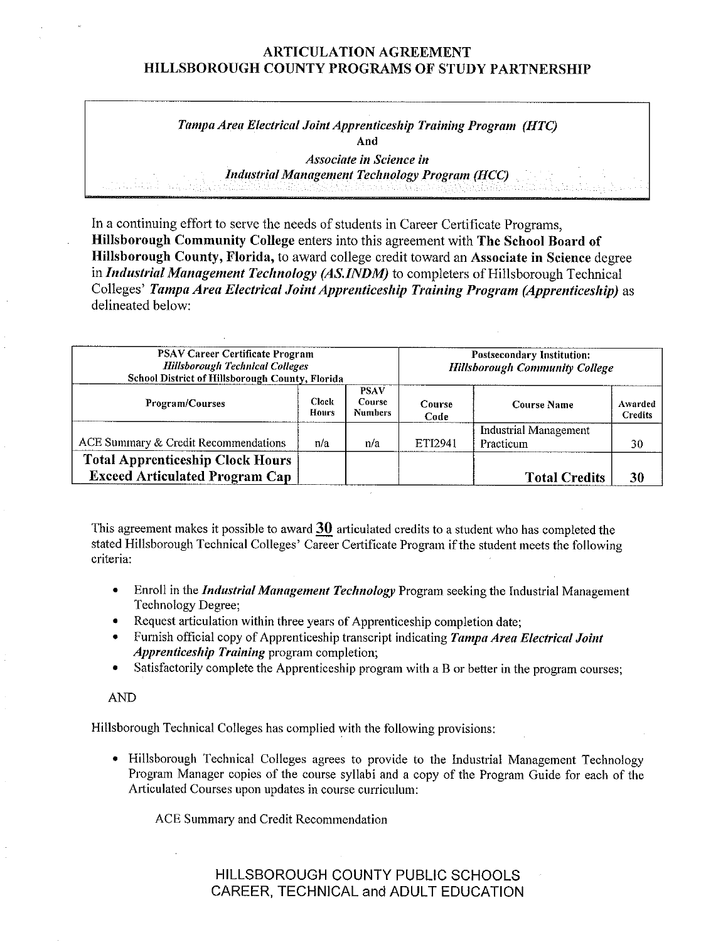#### ARTICULATION AGREEMENT HILLSBOROUGH COUNTY PROGRAMS OF STUDY PARTNERSHIP

## *Tampa Area Electrical Joint Apprenticeship Training Program (HTC)*  **And**

*Associate in Science in Industrial Management Technology Program (HCC)* 

In a continuing effort to serve the needs of students in Career Certificate Programs, **Hillsborough Community College** enters into this agreement with **The School Board of Hillsborough County, Florida,** to award college credit toward an **Associate in Science** degree in *Industrial Management Technology (AS.INDM)* to completers of Hillsborough Technical Colleges' *Tampa Area Electrical Joint Apprenticeship Training Program (Apprenticeship)* as delineated below:

| <b>PSAV Career Certificate Program</b><br><b>Hillsborough Technical Colleges</b><br>School District of Hillsborough County, Florida |                              |                                                | <b>Postsecondary Institution:</b><br><b>Hillsborough Community College</b> |                                           |                           |  |
|-------------------------------------------------------------------------------------------------------------------------------------|------------------------------|------------------------------------------------|----------------------------------------------------------------------------|-------------------------------------------|---------------------------|--|
| <b>Program/Courses</b>                                                                                                              | <b>Clock</b><br><b>Hours</b> | <b>PSAV</b><br><b>Course</b><br><b>Numbers</b> | Course<br>Code                                                             | <b>Course Name</b>                        | Awarded<br><b>Credits</b> |  |
| ACE Summary & Credit Recommendations                                                                                                | n/a                          | n/a                                            | ETI2941                                                                    | <b>Industrial Management</b><br>Practicum | 30                        |  |
| <b>Total Apprenticeship Clock Hours</b><br><b>Exceed Articulated Program Cap</b>                                                    |                              |                                                |                                                                            | <b>Total Credits</b>                      | 30                        |  |

This agreement makes it possible to award 30 articulated credits to a student who has completed the stated Hillsborough Technical Colleges' Career Certificate Program if the student meets the following **criteria:** 

- Enroll in the *Industrial Management Technology* Program seeking the Industrial Management Technology Degree;
- Request articulation within three years of Apprenticeship completion date;
- Furnish official copy of Apprenticeship transcript indicating *Tampa Area Electrical Joint Apprenticeship Training* program completion;
- Satisfactorily complete the Apprenticeship program with a B or better in the program courses;

#### AND

Hillsborough Technical Colleges has complied with the following provisions:

• Hillsborough Technical Colleges agrees to provide to the Industrial Management Technology Program Manager copies of the course syllabi and a copy of the Program Guide for each of the Articulated Courses upon updates in course curriculum:

ACE Summary and Credit Recommendation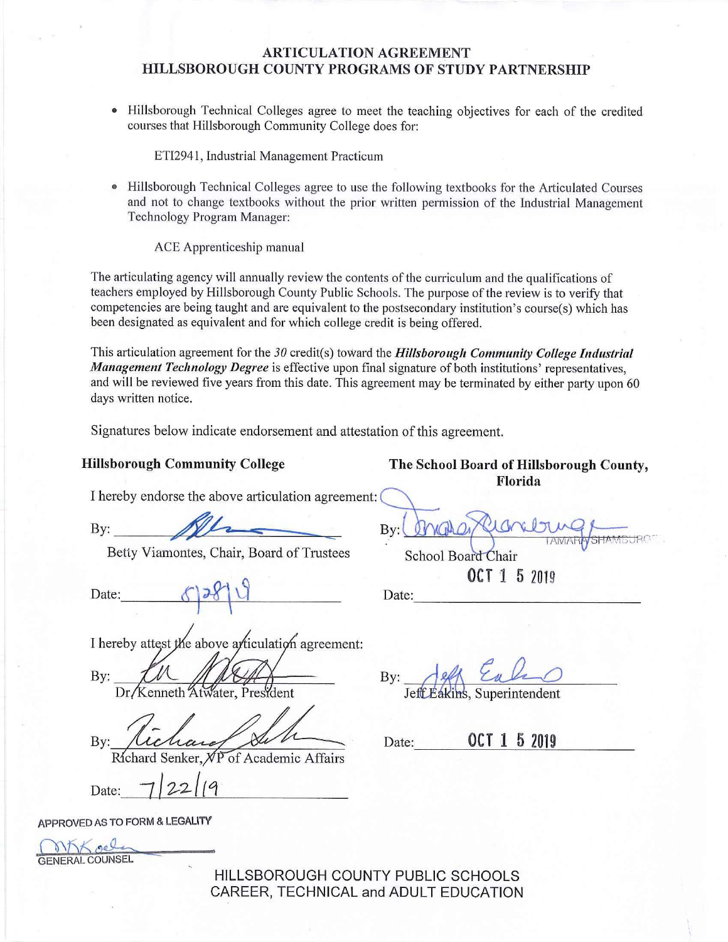### **ARTICULATION AGREEMENT HILLSBOROUGH COUNTY PROGRAMS OF STUDY PARTNERSHIP**

• Hillsborough Technical Colleges agree to meet the teaching objectives for each of the credited courses that Hillsborough Community College does for:

ETI2941, Industrial Management Practicum

• Hillsborough Technical Colleges agree to use the following textbooks for the Atticulated Courses and not to change textbooks without the prior written permission of the Industrial Management Technology Program Manager:

ACE Apprenticeship manual

The articulating agency will annually review the contents of the curriculum and the qualifications of teachers employed by Hillsborough County Public Schools. The purpose of the review is to verify that competencies are being taught and are equivalent to the postsecondary institution's course(s) which has been designated as equivalent and for which college credit is being offered.

This articulation agreement for the 30 credit(s) toward the *Hillsborough Community College Industrial Management Technology Degree* is effective upon final signature of both institutions' representatives, and will be reviewed five years from this date. This agreement may be terminated by either party upon 60 days written notice.

By:

Signatures below indicate endorsement and attestation of this agreement.

**Hillsborough Community College The School Board of Hillsborough County, Florida** 

I hereby endorse the above articulation agreement:

 $\mathbf{By:}$ 

Betty Viamontes, Chair, Board of Trustees

Betty Viamontes, Chair, Board of Trustees<br>Date: Chair<br>Date: 29 \ \ \ \ \ Date: Date: 000 Date: 000 Date: 000 Date: 000 Date: 000 Date: 000 Date: 000 Date: 000 Date: 000 Date: 000 Date: 000 Date: 000 Date: 000 Date: 000 Dat

I hereby attest the above articulation agreement:

By:

Kenneth 2 ater. President

 $By:$ 

Richard Senker,  $\sqrt{P}$  of Academic Affairs<br>Date:  $\frac{7}{22}$ //9

By: **Jeff Eakins**, Superintendent

OCT 1 5 2019

Date: 0**CT 1 5 2019** 

School Board Chair

APPROVED AS **TO** FORM & **LEGALITY** 

GENERALCOUNSEL **soc::::** 

HILLSBOROUGH COUNTY PUBLIC SCHOOLS CAREER, TECHNICAL and ADULT EDUCATION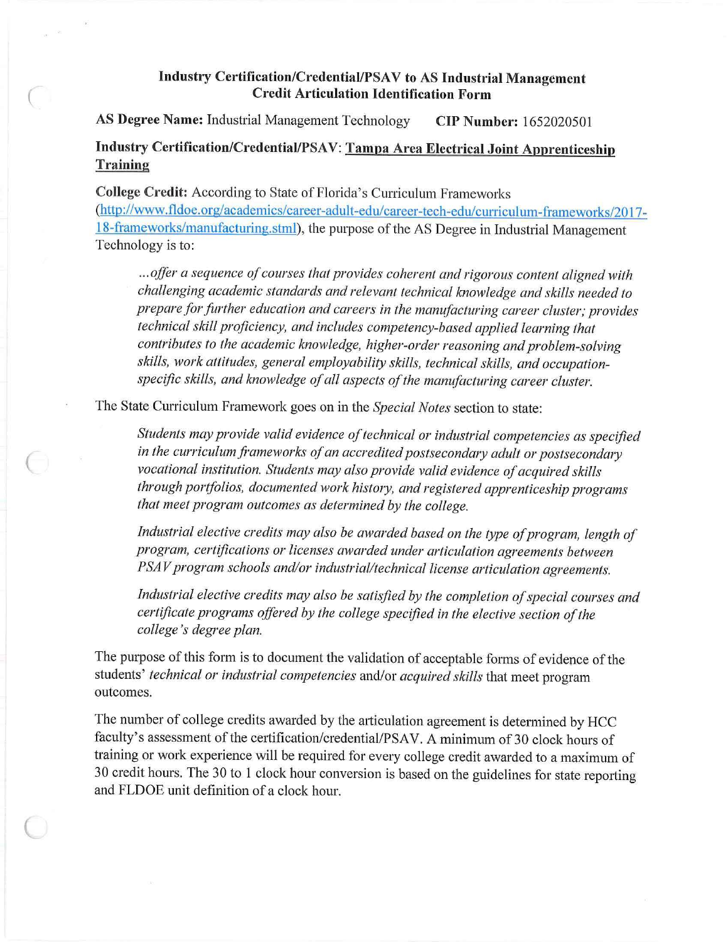#### **Industry Certification/Credential/PSA V to AS Industrial Management Credit Articulation Identification Form**

**AS Degree Name:** Industrial Management Technology **CIP Number·:** 1652020501

(

(

 $\big($ 

# **Industry Certification/Credential/PSAV: Tampa Area Electrical Joint Apprenticeship Training**

**College Credit:** According to State of Florida's Curriculum Frameworks (<http://www.fldoe.org/academics/career-adult-edu/career-tech-edu/curriculum-frameworks/2017> l 8-frameworks/manufacturing.stml), the purpose of the AS Degree in Industrial Management Technology is to:

... offer a sequence of courses that provides coherent and rigorous content aligned with *challenging academic standards and relevant technical knowledge and skills needed to prepare for further education and careers in the manufacturing career cluster; provides technical skill proficiency, and includes competency-based applied learning that contributes to the academic knowledge, higher-order reasoning and problem-solving skills, work attitudes, general employability skills, technical skills, and occupationspecific skills, and knowledge of all aspects of the manufacturing career cluster.* 

The State Curriculum Framework goes on in the *Special Notes* section to state:

*Students mayprovide valid evidence oftechnical or industrial competencies as specified*  in the curriculum frameworks of an accredited postsecondary adult or postsecondary *vocational institution. Students may also provide valid evidence of acquired skills* through portfolios, documented work history, and registered apprenticeship programs *that meet program outcomes as determined by the college.* 

Industrial elective credits may also be awarded based on the type of program, length of *program, certifications or licenses awarded under articulation agreements between PSAV* program schools and/or industrial/technical license articulation agreements.

Industrial elective credits may also be satisfied by the completion of special courses and *certificate programs offered by the college specified in the elective section ofthe college* 's *degree plan.* 

The purpose of this form is to document the validation of acceptable forms of evidence of the students' *technical or industrial competencies* and/or *acquired skills* that meet program outcomes.

The number of college credits awarded by the articulation agreement is determined by HCC faculty's assessment of the certification/credential/PSAV. A minimum of 30 clock hours of training or work experience will be required for every college credit awarded to a maximum of 30 credit hours. The 30 to 1 clock hour conversion is based on the guidelines for state reporting and FLDOE unit definition of a clock hour.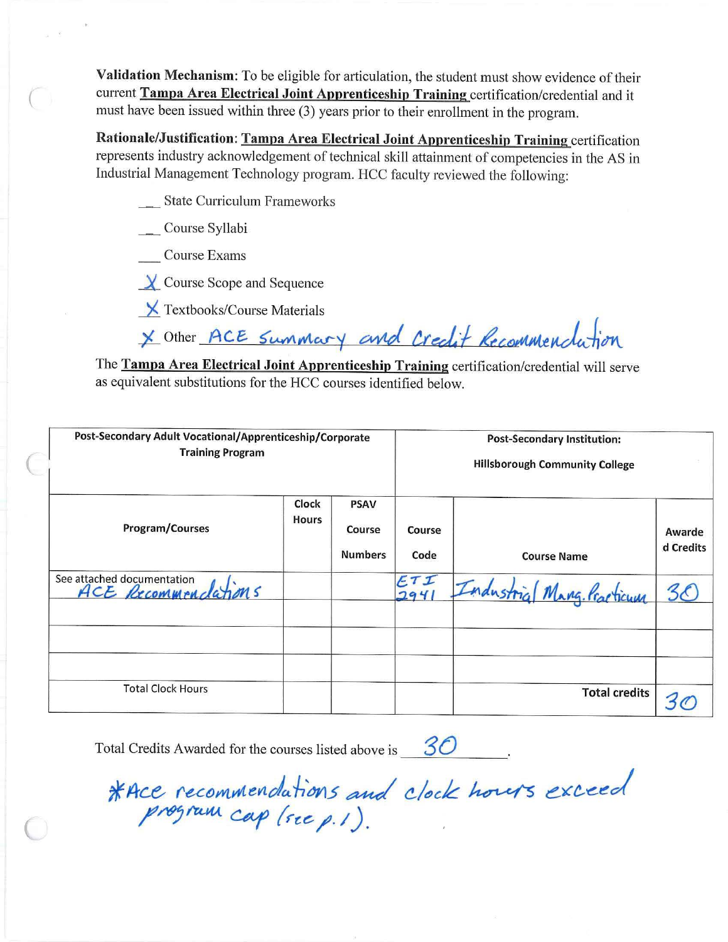Validation Mechanism: To be eligible for articulation, the student must show evidence of their current Tampa Area Electrical Joint Apprenticeship Training certification/credential and it must have been issued within three (3) years prior to their enrollment in the program.

Rationale/Justification: Tampa Area Electrical Joint Apprenticeship Training certification represents industry acknowledgement of technical skill attainment of competencies in the AS in Industrial Management Technology program. HCC faculty reviewed the following:

\_ State Curriculum Frameworks

Course Syllabi

**Course Exams** 

 $\chi$  Course Scope and Sequence

**X** Textbooks/Course Materials

\* Other ACE Summary and Credit Recommendation

The Tampa Area Electrical Joint Apprenticeship Training certification/credential will serve as equivalent substitutions for the HCC courses identified below.

| Post-Secondary Adult Vocational/Apprenticeship/Corporate<br><b>Training Program</b> |                       |                                         | <b>Post-Secondary Institution:</b><br><b>Hillsborough Community College</b> |                            |                     |  |
|-------------------------------------------------------------------------------------|-----------------------|-----------------------------------------|-----------------------------------------------------------------------------|----------------------------|---------------------|--|
| Program/Courses                                                                     | Clock<br><b>Hours</b> | <b>PSAV</b><br>Course<br><b>Numbers</b> | Course<br>Code                                                              | <b>Course Name</b>         | Awarde<br>d Credits |  |
| See attached documentation<br>ACE Recommendations                                   |                       |                                         | ETI<br>294                                                                  | Industrial Mang. Practicum |                     |  |
|                                                                                     |                       |                                         |                                                                             |                            |                     |  |
| <b>Total Clock Hours</b>                                                            |                       |                                         |                                                                             | <b>Total credits</b>       |                     |  |

Total Credits Awarded for the courses listed above is  $30$ 

\*Ace recommendations and clock hours exceed